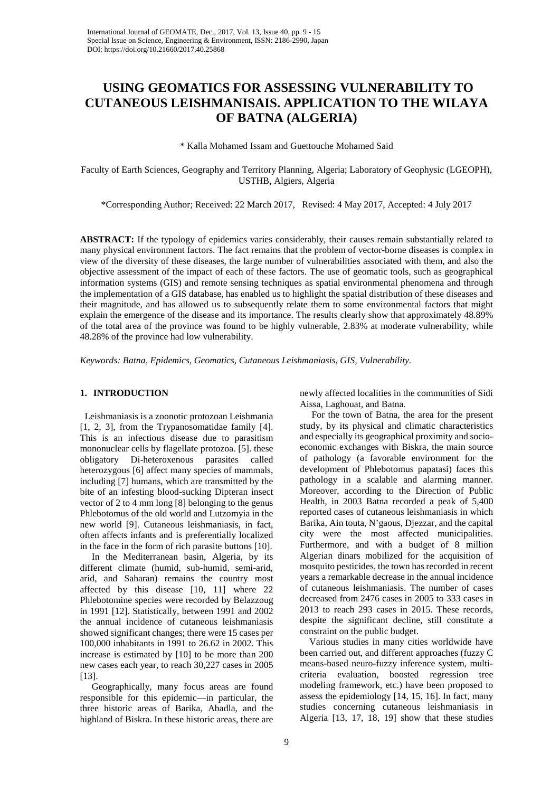# **USING GEOMATICS FOR ASSESSING VULNERABILITY TO CUTANEOUS LEISHMANISAIS. APPLICATION TO THE WILAYA OF BATNA (ALGERIA)**

\* Kalla Mohamed Issam and Guettouche Mohamed Said

Faculty of Earth Sciences, Geography and Territory Planning, Algeria; Laboratory of Geophysic (LGEOPH), USTHB, Algiers, Algeria

\*Corresponding Author; Received: 22 March 2017, Revised: 4 May 2017, Accepted: 4 July 2017

**ABSTRACT:** If the typology of epidemics varies considerably, their causes remain substantially related to many physical environment factors. The fact remains that the problem of vector-borne diseases is complex in view of the diversity of these diseases, the large number of vulnerabilities associated with them, and also the objective assessment of the impact of each of these factors. The use of geomatic tools, such as geographical information systems (GIS) and remote sensing techniques as spatial environmental phenomena and through the implementation of a GIS database, has enabled us to highlight the spatial distribution of these diseases and their magnitude, and has allowed us to subsequently relate them to some environmental factors that might explain the emergence of the disease and its importance. The results clearly show that approximately 48.89% of the total area of the province was found to be highly vulnerable, 2.83% at moderate vulnerability, while 48.28% of the province had low vulnerability.

*Keywords: Batna, Epidemics, Geomatics, Cutaneous Leishmaniasis, GIS, Vulnerability.*

# **1. INTRODUCTION**

 Leishmaniasis is a zoonotic protozoan Leishmania [1, 2, 3], from the Trypanosomatidae family [4]. This is an infectious disease due to parasitism mononuclear cells by flagellate protozoa. [5]. these obligatory Di-heteroxenous parasites called heterozygous [6] affect many species of mammals, including [7] humans, which are transmitted by the bite of an infesting blood-sucking Dipteran insect vector of 2 to 4 mm long [8] belonging to the genus Phlebotomus of the old world and Lutzomyia in the new world [9]. Cutaneous leishmaniasis, in fact, often affects infants and is preferentially localized in the face in the form of rich parasite buttons [10].

 In the Mediterranean basin, Algeria, by its different climate (humid, sub-humid, semi-arid, arid, and Saharan) remains the country most affected by this disease [10, 11] where 22 Phlebotomine species were recorded by Belazzoug in 1991 [12]. Statistically, between 1991 and 2002 the annual incidence of cutaneous leishmaniasis showed significant changes; there were 15 cases per 100,000 inhabitants in 1991 to 26.62 in 2002. This increase is estimated by [10] to be more than 200 new cases each year, to reach 30,227 cases in 2005 [13].

 Geographically, many focus areas are found responsible for this epidemic—in particular, the three historic areas of Barika, Abadla, and the highland of Biskra. In these historic areas, there are newly affected localities in the communities of Sidi Aissa, Laghouat, and Batna.

 For the town of Batna, the area for the present study, by its physical and climatic characteristics and especially its geographical proximity and socioeconomic exchanges with Biskra, the main source of pathology (a favorable environment for the development of Phlebotomus papatasi) faces this pathology in a scalable and alarming manner. Moreover, according to the Direction of Public Health, in 2003 Batna recorded a peak of 5,400 reported cases of cutaneous leishmaniasis in which Barika, Ain touta, N'gaous, Djezzar, and the capital city were the most affected municipalities. Furthermore, and with a budget of 8 million Algerian dinars mobilized for the acquisition of mosquito pesticides, the town has recorded in recent years a remarkable decrease in the annual incidence of cutaneous leishmaniasis. The number of cases decreased from 2476 cases in 2005 to 333 cases in 2013 to reach 293 cases in 2015. These records, despite the significant decline, still constitute a constraint on the public budget.

 Various studies in many cities worldwide have been carried out, and different approaches (fuzzy C means-based neuro-fuzzy inference system, multicriteria evaluation, boosted regression tree modeling framework, etc.) have been proposed to assess the epidemiology [14, 15, 16]. In fact, many studies concerning cutaneous leishmaniasis in Algeria [13, 17, 18, 19] show that these studies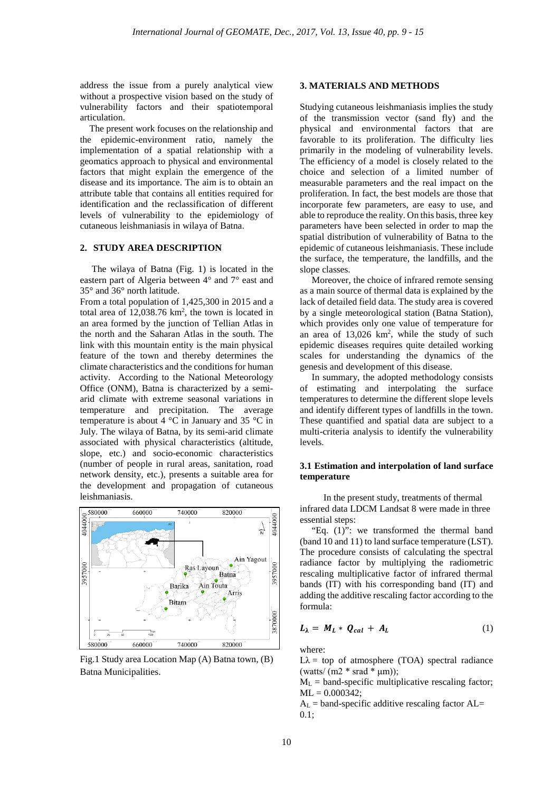address the issue from a purely analytical view without a prospective vision based on the study of vulnerability factors and their spatiotemporal articulation.

 The present work focuses on the relationship and the epidemic-environment ratio, namely the implementation of a spatial relationship with a geomatics approach to physical and environmental factors that might explain the emergence of the disease and its importance. The aim is to obtain an attribute table that contains all entities required for identification and the reclassification of different levels of vulnerability to the epidemiology of cutaneous leishmaniasis in wilaya of Batna.

## **2. STUDY AREA DESCRIPTION**

 The wilaya of Batna (Fig. 1) is located in the eastern part of Algeria between 4° and 7° east and 35° and 36° north latitude.

From a total population of 1,425,300 in 2015 and a total area of  $12,038.76 \text{ km}^2$ , the town is located in an area formed by the junction of Tellian Atlas in the north and the Saharan Atlas in the south. The link with this mountain entity is the main physical feature of the town and thereby determines the climate characteristics and the conditions for human activity. According to the National Meteorology Office (ONM), Batna is characterized by a semiarid climate with extreme seasonal variations in temperature and precipitation. The average temperature is about 4 °C in January and 35 °C in July. The wilaya of Batna, by its semi-arid climate associated with physical characteristics (altitude, slope, etc.) and socio-economic characteristics (number of people in rural areas, sanitation, road network density, etc.), presents a suitable area for the development and propagation of cutaneous leishmaniasis.



Fig.1 Study area Location Map (A) Batna town, (B) Batna Municipalities.

#### **3. MATERIALS AND METHODS**

Studying cutaneous leishmaniasis implies the study of the transmission vector (sand fly) and the physical and environmental factors that are favorable to its proliferation. The difficulty lies primarily in the modeling of vulnerability levels. The efficiency of a model is closely related to the choice and selection of a limited number of measurable parameters and the real impact on the proliferation. In fact, the best models are those that incorporate few parameters, are easy to use, and able to reproduce the reality. On this basis, three key parameters have been selected in order to map the spatial distribution of vulnerability of Batna to the epidemic of cutaneous leishmaniasis. These include the surface, the temperature, the landfills, and the slope classes.

 Moreover, the choice of infrared remote sensing as a main source of thermal data is explained by the lack of detailed field data. The study area is covered by a single meteorological station (Batna Station), which provides only one value of temperature for an area of  $13,026 \text{ km}^2$ , while the study of such epidemic diseases requires quite detailed working scales for understanding the dynamics of the genesis and development of this disease.

 In summary, the adopted methodology consists of estimating and interpolating the surface temperatures to determine the different slope levels and identify different types of landfills in the town. These quantified and spatial data are subject to a multi-criteria analysis to identify the vulnerability levels.

## **3.1 Estimation and interpolation of land surface temperature**

 In the present study, treatments of thermal infrared data LDCM Landsat 8 were made in three essential steps:

 "Eq. (1)": we transformed the thermal band (band 10 and 11) to land surface temperature (LST). The procedure consists of calculating the spectral radiance factor by multiplying the radiometric rescaling multiplicative factor of infrared thermal bands (IT) with his corresponding band (IT) and adding the additive rescaling factor according to the formula:

$$
L_{\lambda} = M_L * Q_{cal} + A_L \tag{1}
$$

where:

 $L\lambda$  = top of atmosphere (TOA) spectral radiance (watts/  $(m2 * grad * \mu m)$ );

 $M<sub>L</sub>$  = band-specific multiplicative rescaling factor;  $ML = 0.000342$ ;

 $A<sub>L</sub>$  = band-specific additive rescaling factor  $A<sub>L</sub>$ = 0.1;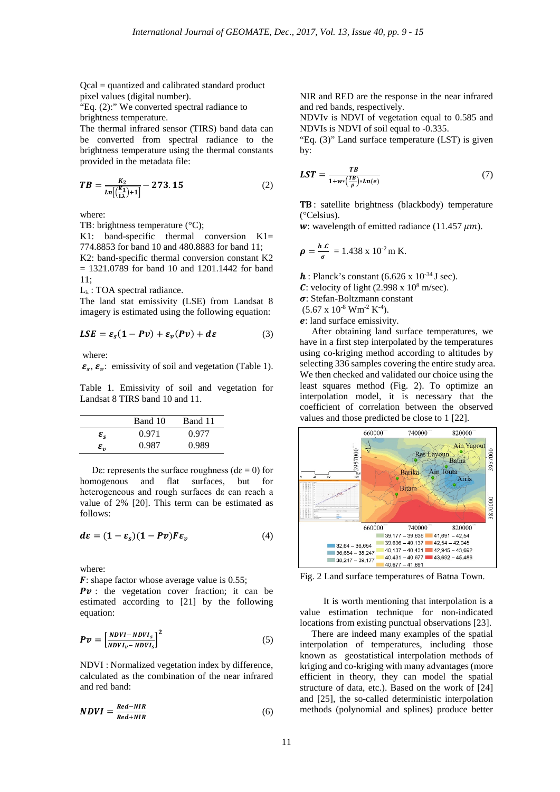Qcal = quantized and calibrated standard product pixel values (digital number).

"Eq. (2):" We converted spectral radiance to brightness temperature.

The thermal infrared sensor (TIRS) band data can be converted from spectral radiance to the brightness temperature using the thermal constants provided in the metadata file:

$$
TB = \frac{k_2}{\ln\left(\frac{k_1}{\ln}\right) + 1} - 273.15\tag{2}
$$

where:

TB: brightness temperature (°C);

K1: band-specific thermal conversion K1= 774.8853 for band 10 and 480.8883 for band 11; K2: band-specific thermal conversion constant K2  $= 1321.0789$  for band 10 and 1201.1442 for band 11;

 $L_{\lambda}$ : TOA spectral radiance.

The land stat emissivity (LSE) from Landsat 8 imagery is estimated using the following equation:

$$
LSE = \varepsilon_s (1 - Pv) + \varepsilon_v (Pv) + d\varepsilon \tag{3}
$$

where:

 $\varepsilon_s$ ,  $\varepsilon_n$ : emissivity of soil and vegetation (Table 1).

Table 1. Emissivity of soil and vegetation for Landsat 8 TIRS band 10 and 11.

|                       | Band 10 | Band 11 |
|-----------------------|---------|---------|
| $\varepsilon_{s}$     | 0.971   | 0.977   |
| $\pmb{\varepsilon}_n$ | 0.987   | 0.989   |

Dε: represents the surface roughness ( $de = 0$ ) for homogenous and flat surfaces, but for heterogeneous and rough surfaces dε can reach a value of 2% [20]. This term can be estimated as follows:

$$
d\varepsilon = (1 - \varepsilon_s)(1 - Pv)F\varepsilon_v \tag{4}
$$

where:

 $\mathbf{F}$ : shape factor whose average value is 0.55;

 $Pv$ : the vegetation cover fraction; it can be estimated according to [21] by the following equation:

$$
Pv = \left[\frac{NDVI - NDVI_s}{NDVI_v - NDVI_s}\right]^2\tag{5}
$$

NDVI : Normalized vegetation index by difference, calculated as the combination of the near infrared and red band:

$$
NDVI = \frac{Red - NIR}{Red + NIR} \tag{6}
$$

NIR and RED are the response in the near infrared and red bands, respectively.

NDVIv is NDVI of vegetation equal to 0.585 and NDVIs is NDVI of soil equal to -0.335.

"Eq. (3)" Land surface temperature (LST) is given by:

$$
LST = \frac{TB}{1 + w * (\frac{TB}{\rho}) * Ln(e)}\tag{7}
$$

: satellite brightness (blackbody) temperature (°Celsius).

w: wavelength of emitted radiance (11.457  $\mu$ m).

$$
\rho = \frac{h.c}{\sigma} = 1.438 \times 10^{-2} \,\mathrm{m} \,\mathrm{K}.
$$

 $h$ : Planck's constant (6.626 x 10<sup>-34</sup> J sec).

C: velocity of light  $(2.998 \times 10^8 \text{ m/sec})$ .

: Stefan-Boltzmann constant

 $(5.67 \times 10^{-8} \text{ W} \text{m}^{-2} \text{ K}^{-4}).$ 

: land surface emissivity.

 After obtaining land surface temperatures, we have in a first step interpolated by the temperatures using co-kriging method according to altitudes by selecting 336 samples covering the entire study area. We then checked and validated our choice using the least squares method (Fig. 2). To optimize an interpolation model, it is necessary that the coefficient of correlation between the observed values and those predicted be close to 1 [22].



Fig. 2 Land surface temperatures of Batna Town.

 It is worth mentioning that interpolation is a value estimation technique for non-indicated locations from existing punctual observations [23].

 There are indeed many examples of the spatial interpolation of temperatures, including those known as geostatistical interpolation methods of kriging and co-kriging with many advantages (more efficient in theory, they can model the spatial structure of data, etc.). Based on the work of [24] and [25], the so-called deterministic interpolation methods (polynomial and splines) produce better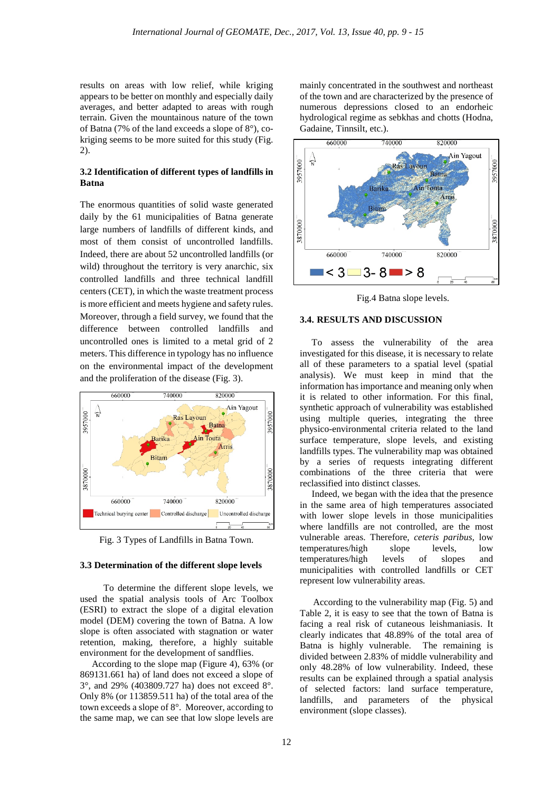results on areas with low relief, while kriging appears to be better on monthly and especially daily averages, and better adapted to areas with rough terrain. Given the mountainous nature of the town of Batna (7% of the land exceeds a slope of 8°), cokriging seems to be more suited for this study (Fig. 2).

# **3.2 Identification of different types of landfills in Batna**

The enormous quantities of solid waste generated daily by the 61 municipalities of Batna generate large numbers of landfills of different kinds, and most of them consist of uncontrolled landfills. Indeed, there are about 52 uncontrolled landfills (or wild) throughout the territory is very anarchic, six controlled landfills and three technical landfill centers (CET), in which the waste treatment process is more efficient and meets hygiene and safety rules. Moreover, through a field survey, we found that the difference between controlled landfills and uncontrolled ones is limited to a metal grid of 2 meters. This difference in typology has no influence on the environmental impact of the development and the proliferation of the disease (Fig. 3).



Fig. 3 Types of Landfills in Batna Town.

# **3.3 Determination of the different slope levels**

 To determine the different slope levels, we used the spatial analysis tools of Arc Toolbox (ESRI) to extract the slope of a digital elevation model (DEM) covering the town of Batna. A low slope is often associated with stagnation or water retention, making, therefore, a highly suitable environment for the development of sandflies.

 According to the slope map (Figure 4), 63% (or 869131.661 ha) of land does not exceed a slope of 3°, and 29% (403809.727 ha) does not exceed 8°. Only 8% (or 113859.511 ha) of the total area of the town exceeds a slope of 8°. Moreover, according to the same map, we can see that low slope levels are

mainly concentrated in the southwest and northeast of the town and are characterized by the presence of numerous depressions closed to an endorheic hydrological regime as sebkhas and chotts (Hodna, Gadaine, Tinnsilt, etc.).



Fig.4 Batna slope levels.

# **3.4. RESULTS AND DISCUSSION**

 To assess the vulnerability of the area investigated for this disease, it is necessary to relate all of these parameters to a spatial level (spatial analysis). We must keep in mind that the information has importance and meaning only when it is related to other information. For this final, synthetic approach of vulnerability was established using multiple queries, integrating the three physico-environmental criteria related to the land surface temperature, slope levels, and existing landfills types. The vulnerability map was obtained by a series of requests integrating different combinations of the three criteria that were reclassified into distinct classes.

 Indeed, we began with the idea that the presence in the same area of high temperatures associated with lower slope levels in those municipalities where landfills are not controlled, are the most vulnerable areas. Therefore*, ceteris paribus,* low temperatures/high slope levels, low temperatures/high levels of slopes and municipalities with controlled landfills or CET represent low vulnerability areas.

According to the vulnerability map (Fig. 5) and Table 2, it is easy to see that the town of Batna is facing a real risk of cutaneous leishmaniasis. It clearly indicates that 48.89% of the total area of Batna is highly vulnerable. The remaining is divided between 2.83% of middle vulnerability and only 48.28% of low vulnerability. Indeed, these results can be explained through a spatial analysis of selected factors: land surface temperature, landfills, and parameters of the physical environment (slope classes).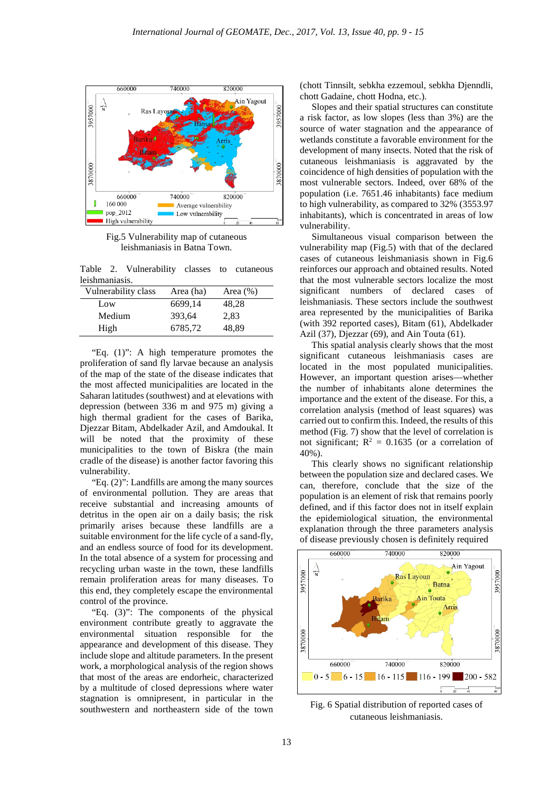

Fig.5 Vulnerability map of cutaneous leishmaniasis in Batna Town.

Table 2. Vulnerability classes to cutaneous leishmaniasis.

| Vulnerability class | Area (ha) | Area $(\% )$ |
|---------------------|-----------|--------------|
| Low                 | 6699,14   | 48,28        |
| Medium              | 393,64    | 2,83         |
| High                | 6785,72   | 48,89        |

 "Eq. (1)": A high temperature promotes the proliferation of sand fly larvae because an analysis of the map of the state of the disease indicates that the most affected municipalities are located in the Saharan latitudes (southwest) and at elevations with depression (between 336 m and 975 m) giving a high thermal gradient for the cases of Barika, Djezzar Bitam, Abdelkader Azil, and Amdoukal. It will be noted that the proximity of these municipalities to the town of Biskra (the main cradle of the disease) is another factor favoring this vulnerability.

 "Eq. (2)": Landfills are among the many sources of environmental pollution. They are areas that receive substantial and increasing amounts of detritus in the open air on a daily basis; the risk primarily arises because these landfills are a suitable environment for the life cycle of a sand-fly, and an endless source of food for its development. In the total absence of a system for processing and recycling urban waste in the town, these landfills remain proliferation areas for many diseases. To this end, they completely escape the environmental control of the province.

 "Eq. (3)": The components of the physical environment contribute greatly to aggravate the environmental situation responsible for the appearance and development of this disease. They include slope and altitude parameters. In the present work, a morphological analysis of the region shows that most of the areas are endorheic, characterized by a multitude of closed depressions where water stagnation is omnipresent, in particular in the southwestern and northeastern side of the town (chott Tinnsilt, sebkha ezzemoul, sebkha Djenndli, chott Gadaine, chott Hodna, etc.).

 Slopes and their spatial structures can constitute a risk factor, as low slopes (less than 3%) are the source of water stagnation and the appearance of wetlands constitute a favorable environment for the development of many insects. Noted that the risk of cutaneous leishmaniasis is aggravated by the coincidence of high densities of population with the most vulnerable sectors. Indeed, over 68% of the population (i.e. 7651.46 inhabitants) face medium to high vulnerability, as compared to 32% (3553.97 inhabitants), which is concentrated in areas of low vulnerability.

 Simultaneous visual comparison between the vulnerability map (Fig.5) with that of the declared cases of cutaneous leishmaniasis shown in Fig.6 reinforces our approach and obtained results. Noted that the most vulnerable sectors localize the most significant numbers of declared cases of leishmaniasis. These sectors include the southwest area represented by the municipalities of Barika (with 392 reported cases), Bitam (61), Abdelkader Azil (37), Djezzar (69), and Ain Touta (61).

 This spatial analysis clearly shows that the most significant cutaneous leishmaniasis cases are located in the most populated municipalities. However, an important question arises—whether the number of inhabitants alone determines the importance and the extent of the disease. For this, a correlation analysis (method of least squares) was carried out to confirm this. Indeed, the results of this method (Fig. 7) show that the level of correlation is not significant;  $R^2 = 0.1635$  (or a correlation of 40%).

This clearly shows no significant relationship between the population size and declared cases. We can, therefore, conclude that the size of the population is an element of risk that remains poorly defined, and if this factor does not in itself explain the epidemiological situation, the environmental explanation through the three parameters analysis of disease previously chosen is definitely required



Fig. 6 Spatial distribution of reported cases of cutaneous leishmaniasis.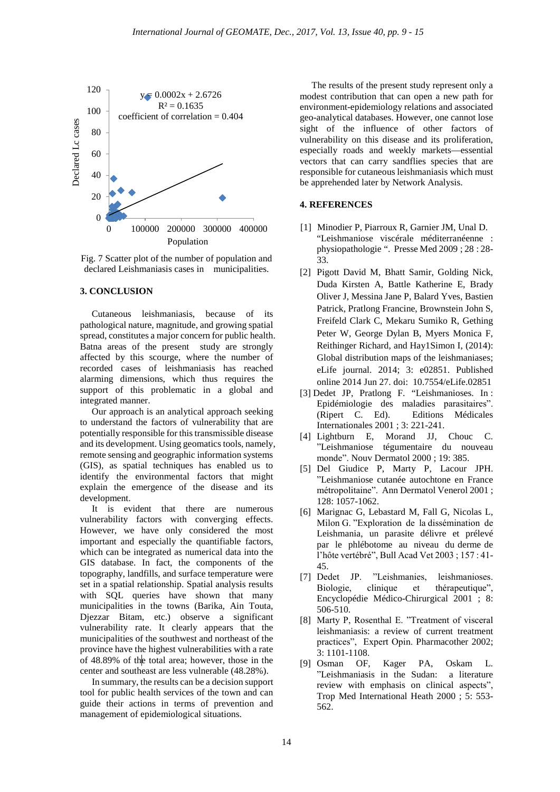

Fig. 7 Scatter plot of the number of population and declared Leishmaniasis cases in municipalities.

#### **3. CONCLUSION**

 Cutaneous leishmaniasis, because of its pathological nature, magnitude, and growing spatial spread, constitutes a major concern for public health. Batna areas of the present study are strongly affected by this scourge, where the number of recorded cases of leishmaniasis has reached alarming dimensions, which thus requires the support of this problematic in a global and integrated manner.

 Our approach is an analytical approach seeking to understand the factors of vulnerability that are potentially responsible for this transmissible disease and its development. Using geomatics tools, namely, remote sensing and geographic information systems (GIS), as spatial techniques has enabled us to identify the environmental factors that might explain the emergence of the disease and its development.

 It is evident that there are numerous vulnerability factors with converging effects. However, we have only considered the most important and especially the quantifiable factors, which can be integrated as numerical data into the GIS database. In fact, the components of the topography, landfills, and surface temperature were set in a spatial relationship. Spatial analysis results with SQL queries have shown that many municipalities in the towns (Barika, Ain Touta, Djezzar Bitam, etc.) observe a significant vulnerability rate. It clearly appears that the municipalities of the southwest and northeast of the province have the highest vulnerabilities with a rate of 48.89% of the total area; however, those in the center and southeast are less vulnerable (48.28%).

 In summary, the results can be a decision support tool for public health services of the town and can guide their actions in terms of prevention and management of epidemiological situations.

 The results of the present study represent only a modest contribution that can open a new path for environment-epidemiology relations and associated geo-analytical databases. However, one cannot lose sight of the influence of other factors of vulnerability on this disease and its proliferation, especially roads and weekly markets—essential vectors that can carry sandflies species that are responsible for cutaneous leishmaniasis which must be apprehended later by Network Analysis.

## **4. REFERENCES**

- [1] Minodier P, Piarroux R, Garnier JM, Unal D. "Leishmaniose viscérale méditerranéenne : physiopathologie ". Presse Med 2009 ; 28 : 28- 33.
- [2] Pigott David M, Bhatt Samir, Golding Nick, Duda Kirsten A, Battle Katherine E, Brady Oliver J, Messina Jane P, Balard Yves, Bastien Patrick, Pratlong Francine, Brownstein John S, Freifeld Clark C, Mekaru Sumiko R, Gething Peter W, George Dylan B, Myers Monica F, Reithinger Richard, and Hay1Simon I, (2014): Global distribution maps of the leishmaniases; eLife journal. 2014; 3: e02851. Published online 2014 Jun 27. doi: 10.7554/eLife.02851
- [3] Dedet JP, Pratlong F. "Leishmanioses. In : Epidémiologie des maladies parasitaires". (Ripert C. Ed). Editions Médicales Internationales 2001 ; 3: 221-241.
- [4] Lightburn E, Morand JJ, Chouc C. ˮLeishmaniose tégumentaire du nouveau monde". Nouv Dermatol 2000 ; 19: 385.
- [5] Del Giudice P, Marty P, Lacour JPH. ˮLeishmaniose cutanée autochtone en France métropolitaine". Ann Dermatol Venerol 2001 ; 128: 1057-1062.
- [6] Marignac G, Lebastard M, Fall G, Nicolas L, Milon G. "Exploration de la dissémination de Leishmania, un parasite délivre et prélevé par le phlébotome au niveau du derme de l'hôte vertébré", Bull Acad Vet 2003 ; 157 : 41-45.
- [7] Dedet JP. "Leishmanies, leishmanioses. Biologie, clinique et thérapeutique<sup>n</sup>, Encyclopédie Médico-Chirurgical 2001 ; 8: 506-510.
- [8] Marty P, Rosenthal E. "Treatment of visceral leishmaniasis: a review of current treatment practices", Expert Opin. Pharmacother 2002; 3: 1101-1108.
- [9] Osman OF, Kager PA, Oskam L. ˮLeishmaniasis in the Sudan: a literature review with emphasis on clinical aspects", Trop Med International Heath 2000 ; 5: 553- 562.